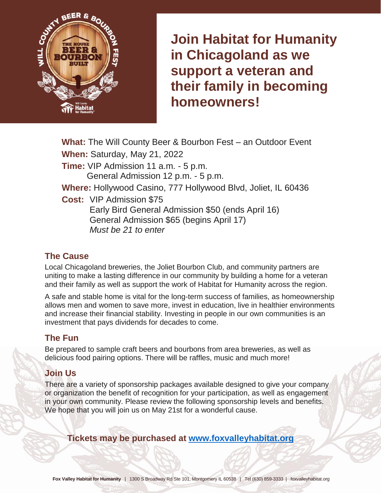

**Join Habitat for Humanity in Chicagoland as we support a veteran and their family in becoming homeowners!**

**What:** The Will County Beer & Bourbon Fest – an Outdoor Event **When:** Saturday, May 21, 2022 **Time:** VIP Admission 11 a.m. - 5 p.m. General Admission 12 p.m. - 5 p.m. **Where:** Hollywood Casino, 777 Hollywood Blvd, Joliet, IL 60436 **Cost:** VIP Admission \$75 Early Bird General Admission \$50 (ends April 16) General Admission \$65 (begins April 17) *Must be 21 to enter*

## **The Cause**

Local Chicagoland breweries, the Joliet Bourbon Club, and community partners are uniting to make a lasting difference in our community by building a home for a veteran and their family as well as support the work of Habitat for Humanity across the region.

A safe and stable home is vital for the long-term success of families, as homeownership allows men and women to save more, invest in education, live in healthier environments and increase their financial stability. Investing in people in our own communities is an investment that pays dividends for decades to come.

## **The Fun**

Be prepared to sample craft beers and bourbons from area breweries, as well as delicious food pairing options. There will be raffles, music and much more!

## **Join Us**

There are a variety of sponsorship packages available designed to give your company or organization the benefit of recognition for your participation, as well as engagement in your own community. Please review the following sponsorship levels and benefits. We hope that you will join us on May 21st for a wonderful cause.

**Tickets may be purchased at [www.foxvalleyhabitat.org](file://///CHFHSERVER/Data/Events/Beer%20&%20Bourbon/Sponsorship/Drafts/www.foxvalleyhabitat.org)**